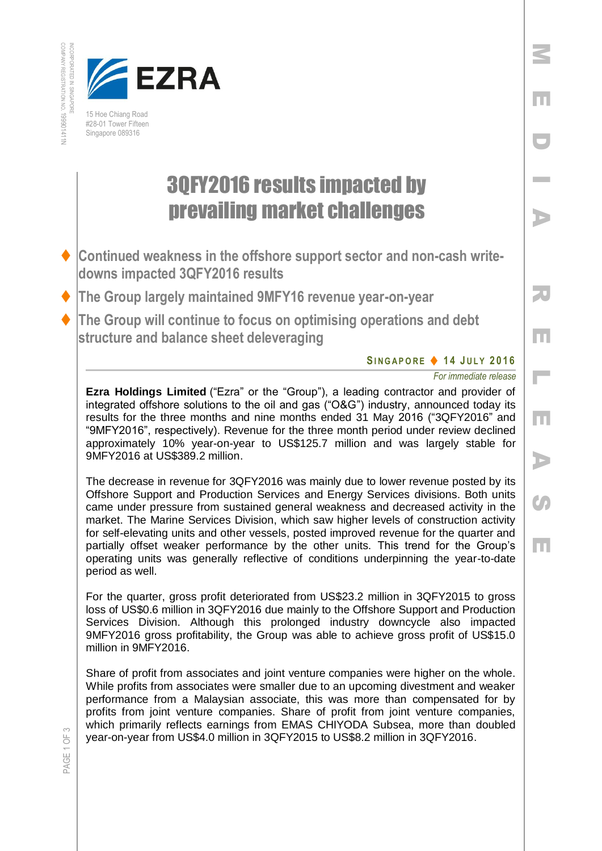



15 Hoe Chiang Road #28-01 Tower Fifteen Singapore 089316

## 3QFY2016 results impacted by prevailing market challenges

- **Continued weakness in the offshore support sector and non-cash writedowns impacted 3QFY2016 results**
- **The Group largely maintained 9MFY16 revenue year-on-year**
- **The Group will continue to focus on optimising operations and debt structure and balance sheet deleveraging**

## **SI N G A P O R E 1 4 J U L Y 2016**

*For immediate release* 

**Ezra Holdings Limited** ("Ezra" or the "Group"), a leading contractor and provider of integrated offshore solutions to the oil and gas ("O&G") industry, announced today its results for the three months and nine months ended 31 May 2016 ("3QFY2016" and "9MFY2016", respectively). Revenue for the three month period under review declined approximately 10% year-on-year to US\$125.7 million and was largely stable for 9MFY2016 at US\$389.2 million.

The decrease in revenue for 3QFY2016 was mainly due to lower revenue posted by its Offshore Support and Production Services and Energy Services divisions. Both units came under pressure from sustained general weakness and decreased activity in the market. The Marine Services Division, which saw higher levels of construction activity for self-elevating units and other vessels, posted improved revenue for the quarter and partially offset weaker performance by the other units. This trend for the Group's operating units was generally reflective of conditions underpinning the year-to-date period as well.

For the quarter, gross profit deteriorated from US\$23.2 million in 3QFY2015 to gross loss of US\$0.6 million in 3QFY2016 due mainly to the Offshore Support and Production Services Division. Although this prolonged industry downcycle also impacted 9MFY2016 gross profitability, the Group was able to achieve gross profit of US\$15.0 million in 9MFY2016.

Share of profit from associates and joint venture companies were higher on the whole. While profits from associates were smaller due to an upcoming divestment and weaker performance from a Malaysian associate, this was more than compensated for by profits from joint venture companies. Share of profit from joint venture companies, which primarily reflects earnings from EMAS CHIYODA Subsea, more than doubled year-on-year from US\$4.0 million in 3QFY2015 to US\$8.2 million in 3QFY2016.

 $\leq$ 

PAGE 1 OF 3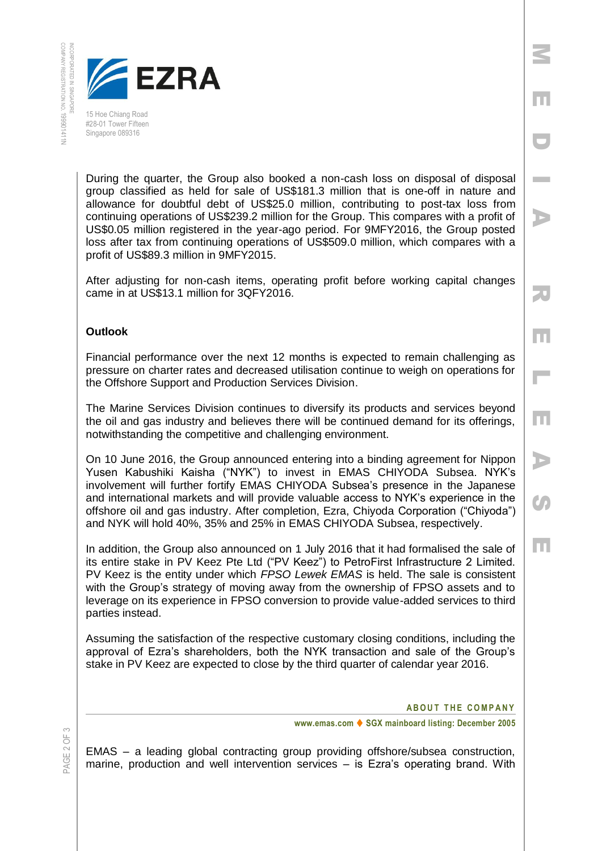

15 Hoe Chiang Road #28-01 Tower Fifteen Singapore 089316

During the quarter, the Group also booked a non-cash loss on disposal of disposal group classified as held for sale of US\$181.3 million that is one-off in nature and allowance for doubtful debt of US\$25.0 million, contributing to post-tax loss from continuing operations of US\$239.2 million for the Group. This compares with a profit of US\$0.05 million registered in the year-ago period. For 9MFY2016, the Group posted loss after tax from continuing operations of US\$509.0 million, which compares with a profit of US\$89.3 million in 9MFY2015.

After adjusting for non-cash items, operating profit before working capital changes came in at US\$13.1 million for 3QFY2016.

## **Outlook**

Financial performance over the next 12 months is expected to remain challenging as pressure on charter rates and decreased utilisation continue to weigh on operations for the Offshore Support and Production Services Division.

The Marine Services Division continues to diversify its products and services beyond the oil and gas industry and believes there will be continued demand for its offerings, notwithstanding the competitive and challenging environment.

On 10 June 2016, the Group announced entering into a binding agreement for Nippon Yusen Kabushiki Kaisha ("NYK") to invest in EMAS CHIYODA Subsea. NYK's involvement will further fortify EMAS CHIYODA Subsea's presence in the Japanese and international markets and will provide valuable access to NYK's experience in the offshore oil and gas industry. After completion, Ezra, Chiyoda Corporation ("Chiyoda") and NYK will hold 40%, 35% and 25% in EMAS CHIYODA Subsea, respectively.

In addition, the Group also announced on 1 July 2016 that it had formalised the sale of its entire stake in PV Keez Pte Ltd ("PV Keez") to PetroFirst Infrastructure 2 Limited. PV Keez is the entity under which *FPSO Lewek EMAS* is held. The sale is consistent with the Group's strategy of moving away from the ownership of FPSO assets and to leverage on its experience in FPSO conversion to provide value-added services to third parties instead.

Assuming the satisfaction of the respective customary closing conditions, including the approval of Ezra's shareholders, both the NYK transaction and sale of the Group's stake in PV Keez are expected to close by the third quarter of calendar year 2016.

PAGE 2 OF

**ABOUT THE COMPANY** 

**www.emas.com ♦ SGX mainboard listing: December 2005** 

EMAS – a leading global contracting group providing offshore/subsea construction, marine, production and well intervention services – is Ezra's operating brand. With

 D I AR E L E A $\bm{G}$ E

M

E